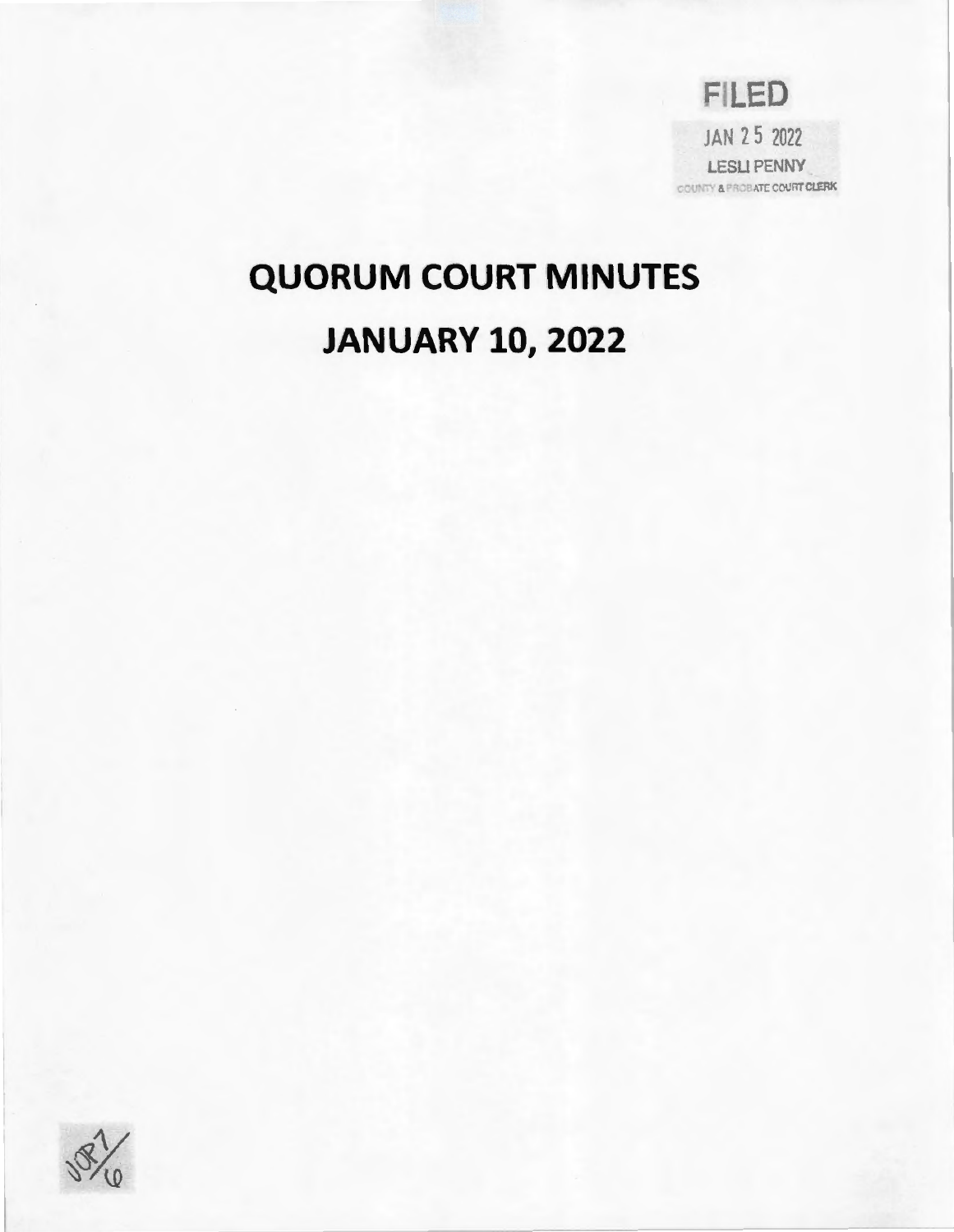FILED JAN 25 2022 LESLI PENNY COUNTY & PROBATE COURT CLERK

# **QUORUM COURT MINUTES JANUARY 10, 2022**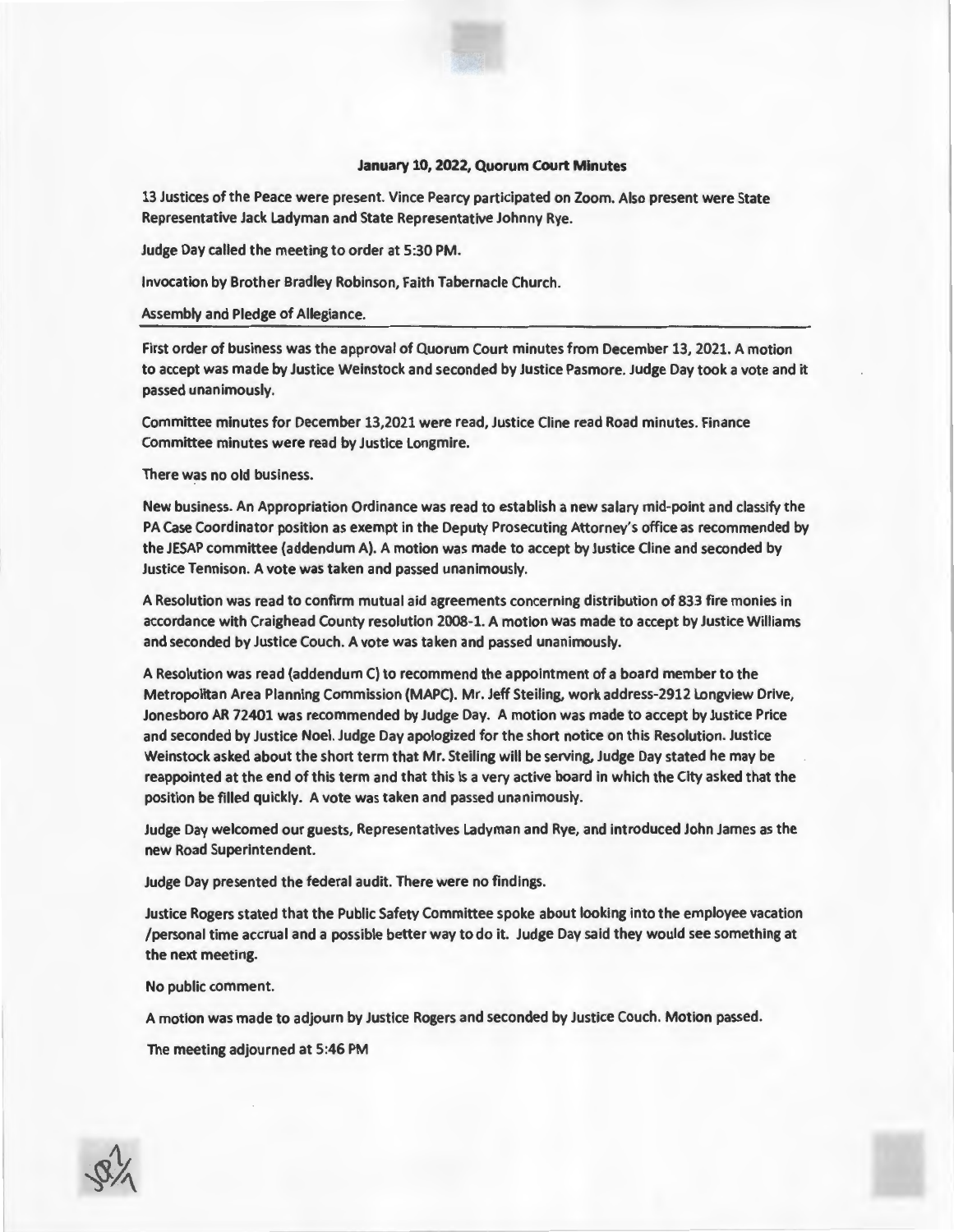### **January 10, 2022, Quorum Court Minutes**

13 Justices of the Peace were present. Vince Pearcy participated on Zoom. Also present were State Representative Jack Ladyman and State Representative Johnny Rye.

Judge Day called the meeting to order at 5:30 PM.

Invocation by Brother Bradley Robinson, Faith Tabernacle Church.

#### Assembly and Pledge of Allegiance.

First order of business was the approval of Quorum Court minutes from December 13, 2021. A motion to accept was made by Justice Weinstock and seconded by Justice Pasmore. Judge Day took a vote and it passed unanimously.

Committee minutes for December 13,2021 were read, Justice Cline read Road minutes. Finance Committee minutes were read by Justice Longmire.

### There was no old business.

New business. An Appropriation Ordinance was read to establish a new salary mid-point and classify the PA Case Coordinator position as exempt in the Deputy Prosecuting Attorney's office as recommended by the JESAP committee (addendum A). A motion was made to accept by Justice Cline and seconded by Justice Tennison. A vote was taken and passed unanimously.

A Resolution was read to confirm mutual aid agreements concerning distribution of 833 fire monies in accordance with Craighead County resolution 2008-1. A motion was made to accept by Justice Williams and seconded by Justice Couch. A vote was taken and passed unanimously.

A Resolution was read (addendum C) to recommend the appointment of a board member to the Metropolitan Area Planning Commission (MAPC). Mr. Jeff Steiling, work address-2912 Longview Drive, Jonesboro AR 72401 was recommended by Judge Day. A motion was made to accept by Justice Price and seconded by Justice Noel. Judge Day apologized for the short notice on this Resolution. Justice Weinstock asked about the short term that Mr. Steiling will be serving, Judge Day stated he may be reappointed at the end of this term and that this Is a very active board in which the City asked that the position be filled quickly. A vote was taken and passed unanimously.

Judge Day welcomed our guests, Representatives Ladyman and Rye, and introduced John James as the new Road Superintendent.

Judge Day presented the federal audit. There were no findings.

Justice Rogers stated that the Public Safety Committee spoke about looking into the employee vacation /personal time accrual and a possible better way to do it. Judge Day said they would see something at the next meeting.

### No public comment.

A motion was made to adjourn by Justice Rogers and seconded by Justice Couch. Motion passed.

The meeting adjourned at 5:46 PM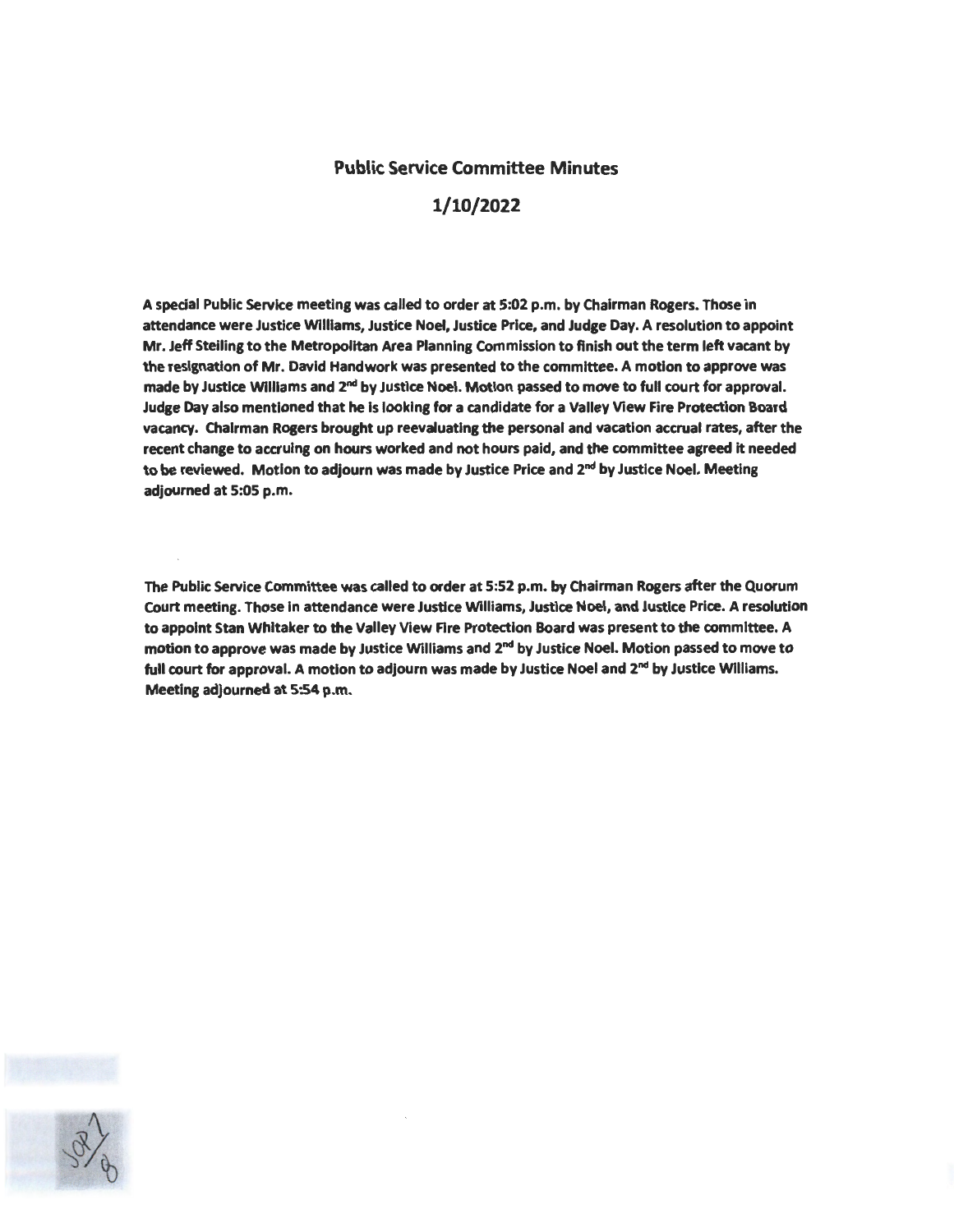### Public Service Committee Minutes

# 1/10/2022

A special Public Service meeting was called to order at 5:02 p.m. by Chairman Rogers. Those in attendance were Justice WIiiiams, Justice Noel, Justice Price, and Judge Day. A resolution to appoint Mr. Jeff Steiling to the Metropolitan Area Planning Commission to finish out the term left vacant by the resignation of Mr. David Handwork was presented to the committee. A motion to approve was made by Justice Williams and  $2<sup>nd</sup>$  by Justice Noel. Motion passed to move to full court for approval. Judge Day also mentioned that he Is looking for a candidate for a Valley View Fire Protection Board vacancy. Chairman Rogers brought up reevaluating the personal and vacation accrual rates, after the recent change to accruing on hours worked and not hours paid, and the committee agreed it needed to be reviewed. Motion to adjourn was made by Justice Price and 2<sup>nd</sup> by Justice Noel. Meeting adjourned at 5:05 p.m.

The Public Service Committee was called to order at 5:52 p.m. by Chairman Rogers after the Quorum Court meeting. Those In attendance were Justice Williams, Justice Noel, and Justice Price. A resolution to appoint Stan Whitaker to the Valley View Fire Protection Board was present to the committee. A motion to approve was made by Justice Williams and  $2<sup>nd</sup>$  by Justice Noel. Motion passed to move to full court for approval. A motion to adjourn was made by Justice Noel and 2<sup>nd</sup> by Justice Williams. Meeting adjourned at 5:54 p.m.

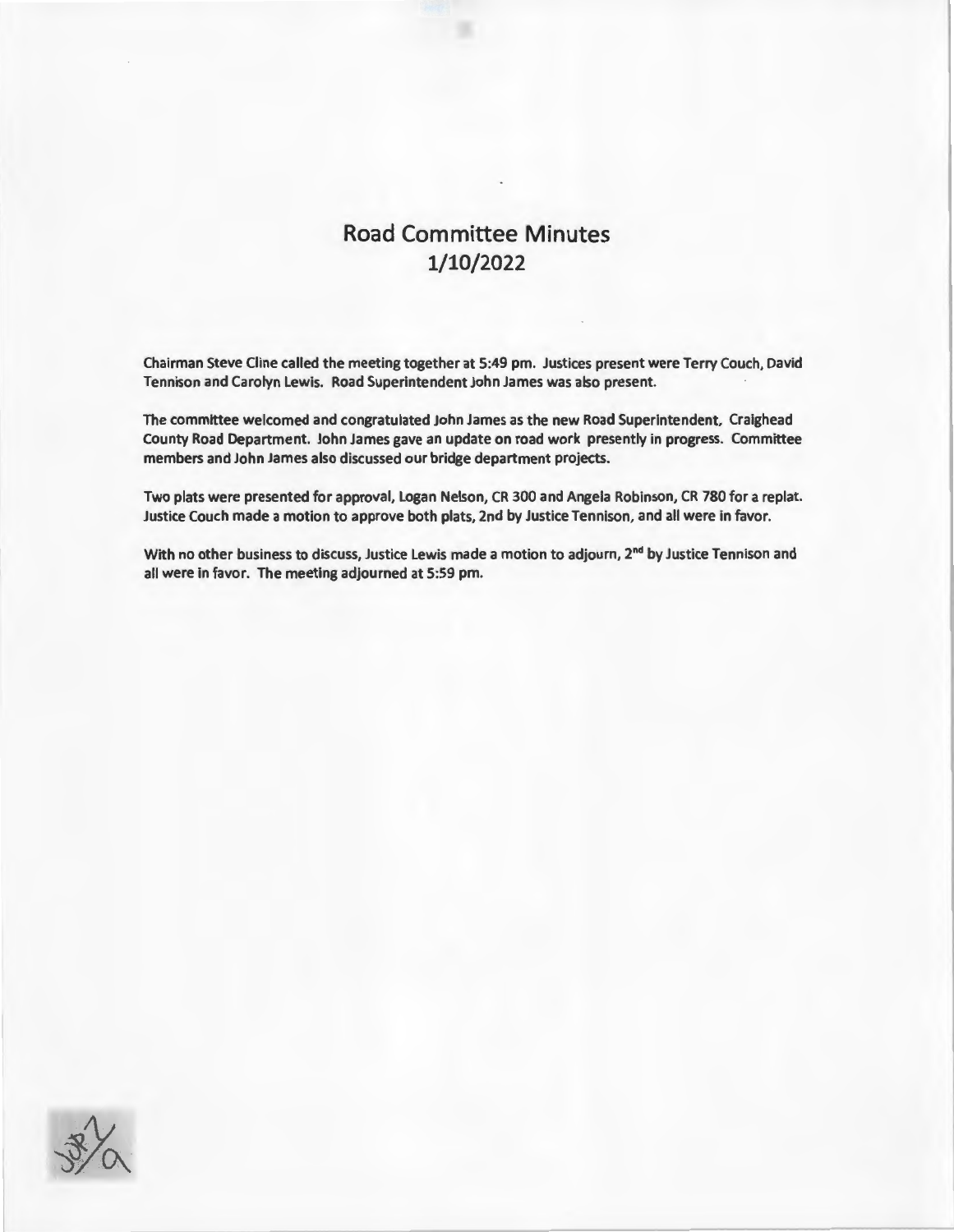# **Road Committee Minutes 1/10/2022**

Chairman Steve Cline called the meeting together at 5:49 pm. Justices present were Terry Couch, David Tennison and Carolyn Lewis. Road Superintendent John James was also present.

The committee welcomed and congratulated John James as the new Road Superintendent, Craighead County Road Department. John James gave an update on road work presently in progress. Committee members and John James also discussed our bridge department projects.

Two plats were presented for approval, Logan Nelson, CR 300 and Angela Robinson, CR 780 for a replat. Justice Couch made a motion to approve both plats, 2nd by Justice Tennison, and all were in favor.

With no other business to discuss, Justice Lewis made a motion to adjourn, 2<sup>nd</sup> by Justice Tennison and all were in favor. The meeting adjourned at 5:59 pm.

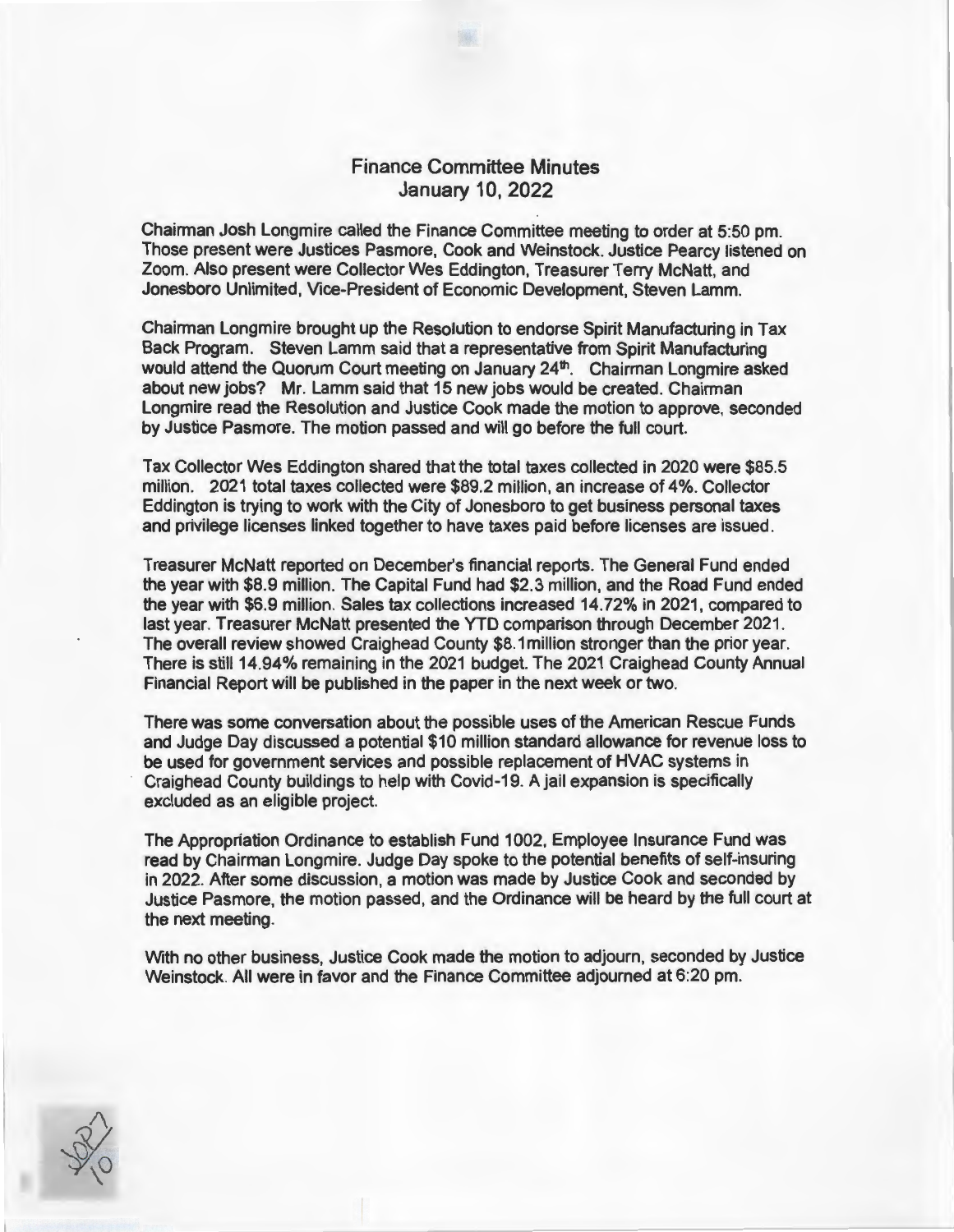# Finance Committee Minutes January 10, 2022

Chairman Josh Longmire called the Finance Committee meeting to order at 5:50 pm. Those present were Justices Pasmore, Cook and Weinstock. Justice Pearcy listened on Zoom. Also present were Collector Wes Eddington, Treasurer Terry McNatt, and Jonesboro Unlimited, Vice-President of Economic Development, Steven Lamm.

Chairman Longmire brought up the Resolution to endorse Spirit Manufacturing in Tax Back Program. Steven Lamm said that a representative from Spirit Manufacturing would attend the Quorum Court meeting on January 24<sup>th</sup>. Chairman Longmire asked about new jobs? Mr. Lamm said that 15 new jobs would be created. Chairman Longmire read the Resolution and Justice Cook made the motion to approve, seconded by Justice Pasmore. The motion passed and will go before the full court.

Tax Collector Wes Eddington shared that the total taxes collected in 2020 were \$85.5 million. 2021 total taxes collected were \$89.2 million, an increase of 4%. Collector Eddington is trying to work with the City of Jonesboro to get business personal taxes and privilege licenses linked together to have taxes paid before licenses are issued.

Treasurer McNatt reported on December's financial reports. The General Fund ended the year with \$8.9 million. The Capital Fund had \$2.3 million, and the Road Fund ended the year with \$6.9 million. Sales tax collections increased 14.72% in 2021 , compared to last year. Treasurer McNatt presented the YTD comparison through December 2021 . The overall review showed Craighead County \$8.1 million stronger than the prior year. There is still 14.94% remaining in the 2021 budget. The 2021 Craighead County Annual Financial Report will be published in the paper in the next week or two.

There was some conversation about the possible uses of the American Rescue Funds and Judge Day discussed a potential \$10 million standard allowance for revenue loss to be used for government services and possible replacement of HVAC systems in Craighead County buildings to help with Covid-19. A jail expansion is specifically excluded as an eligible project.

The Appropriation Ordinance to establish Fund 1002, Employee Insurance Fund was read by Chairman Longmire. Judge Day spoke to the potential benefits of self-insuring in 2022. After some discussion, a motion was made by Justice Cook and seconded by Justice Pasmore, the motion passed, and the Ordinance will be heard by the full court at the next meeting.

With no other business, Justice Cook made the motion to adjourn, seconded by Justice Weinstock. All were in favor and the Finance Committee adjourned at 6:20 pm.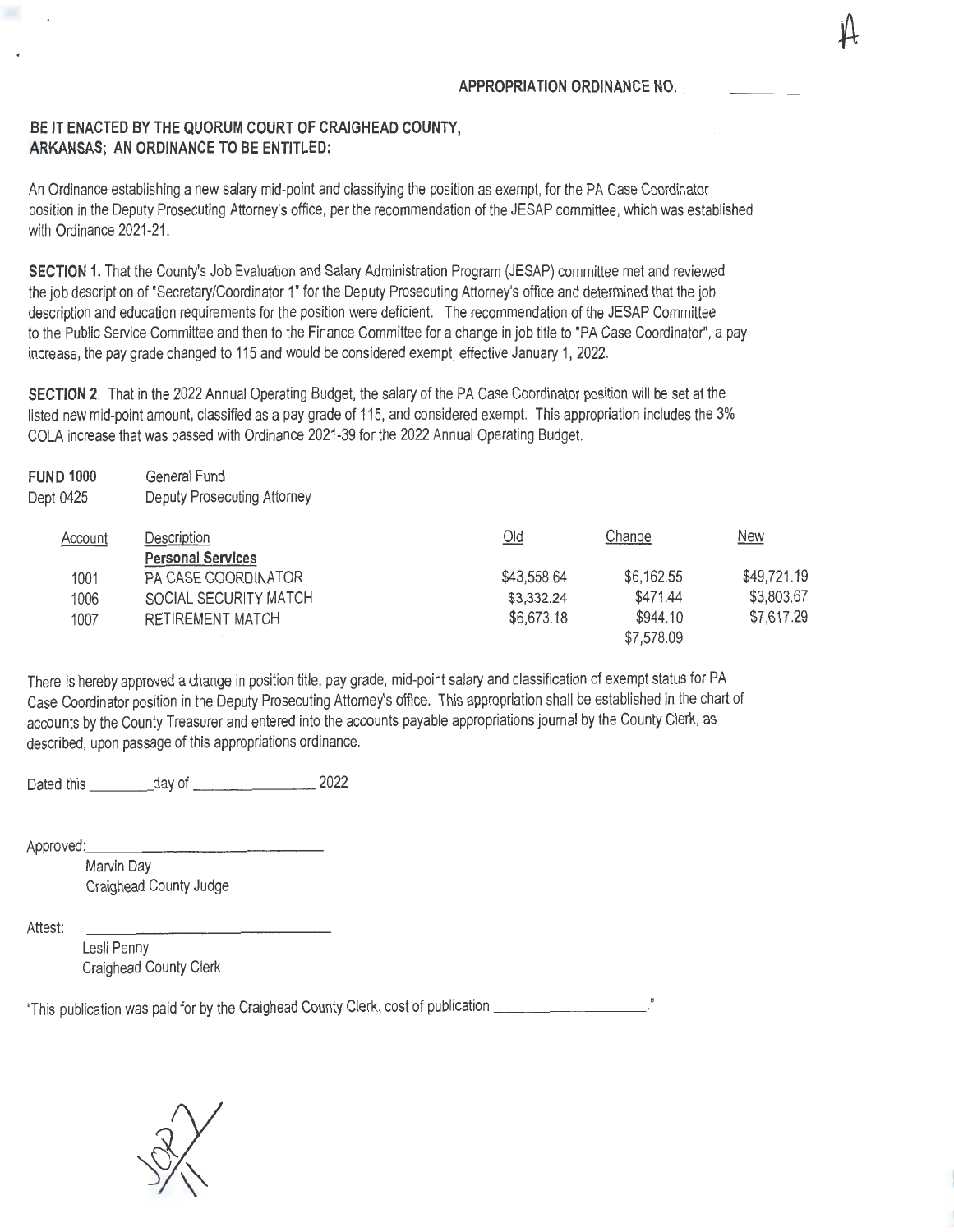## **BE IT ENACTED BY THE QUORUM COURT OF CRAIGHEAD COUNTY, ARKANSAS; AN ORDINANCE TO BE ENTITLED:**

An Ordinance establishing a new salary mid-point and classifying the position as exempt, for the PA Case Coordinator position in the Deputy Prosecuting Attorney's office, per the recommendation of the JESAP committee, which was established with Ordinance 2021-21.

**SECTION 1.** That the County's Job Evaluation and Salary Administration Program (JESAP) committee met and reviewed the job description of "Secretary/Coordinator 1" for the Deputy Prosecuting Attorney's office and determined that the job description and education requirements for the position were deficient. The recommendation of the JESAP Committee to the Public Service Committee and then to the Finance Committee for a change in job title to "PA Case Coordinator", a pay increase, the pay grade changed to 115 and would be considered exempt, effective January 1, 2022.

**SECTION 2.** That in the 2022 Annual Operating Budget, the salary of the PA Case Coordinator position will be set at the listed new mid-point amount, classified as a pay grade of 115, and considered exempt. This appropriation includes the 3% COLA increase that was passed with Ordinance 2021-39 for the 2022 Annual Operating Budget.

| <b>FUND 1000</b> | General Fund                       |             |            |             |
|------------------|------------------------------------|-------------|------------|-------------|
| Dept 0425        | <b>Deputy Prosecuting Attorney</b> |             |            |             |
| Account          | Description                        | $Q$ ld      | Change     | <b>New</b>  |
|                  | <b>Personal Services</b>           |             |            |             |
| 1001             | PA CASE COORDINATOR                | \$43,558.64 | \$6,162.55 | \$49,721.19 |
| 1006             | SOCIAL SECURITY MATCH              | \$3,332.24  | \$471.44   | \$3,803.67  |
| 1007             | <b>RETIREMENT MATCH</b>            | \$6,673.18  | \$944.10   | \$7,617.29  |
|                  |                                    |             | \$7,578.09 |             |

There is hereby approved a change in position title, pay grade, mid-point salary and classification of exempt status for PA Case Coordinator position in the Deputy Prosecuting Attorney's office. This appropriation shall be established in the chart of accounts by the County Treasurer and entered into the accounts payable appropriations journal by the County Clerk, as described, upon passage of this appropriations ordinance.

Dated this \_\_\_\_\_\_\_\_\_\_ day of \_\_\_\_\_\_\_\_\_\_\_\_\_\_\_\_\_\_\_\_\_\_\_\_\_ 2022

Approved:

Marvin Day Craighead County Judge

Attest:

Lesli Penny Craighead County Clerk

"This publication was paid for by the Craighead County Clerk, cost of publication \_\_\_\_\_\_\_\_\_\_\_\_\_\_\_\_\_\_\_..."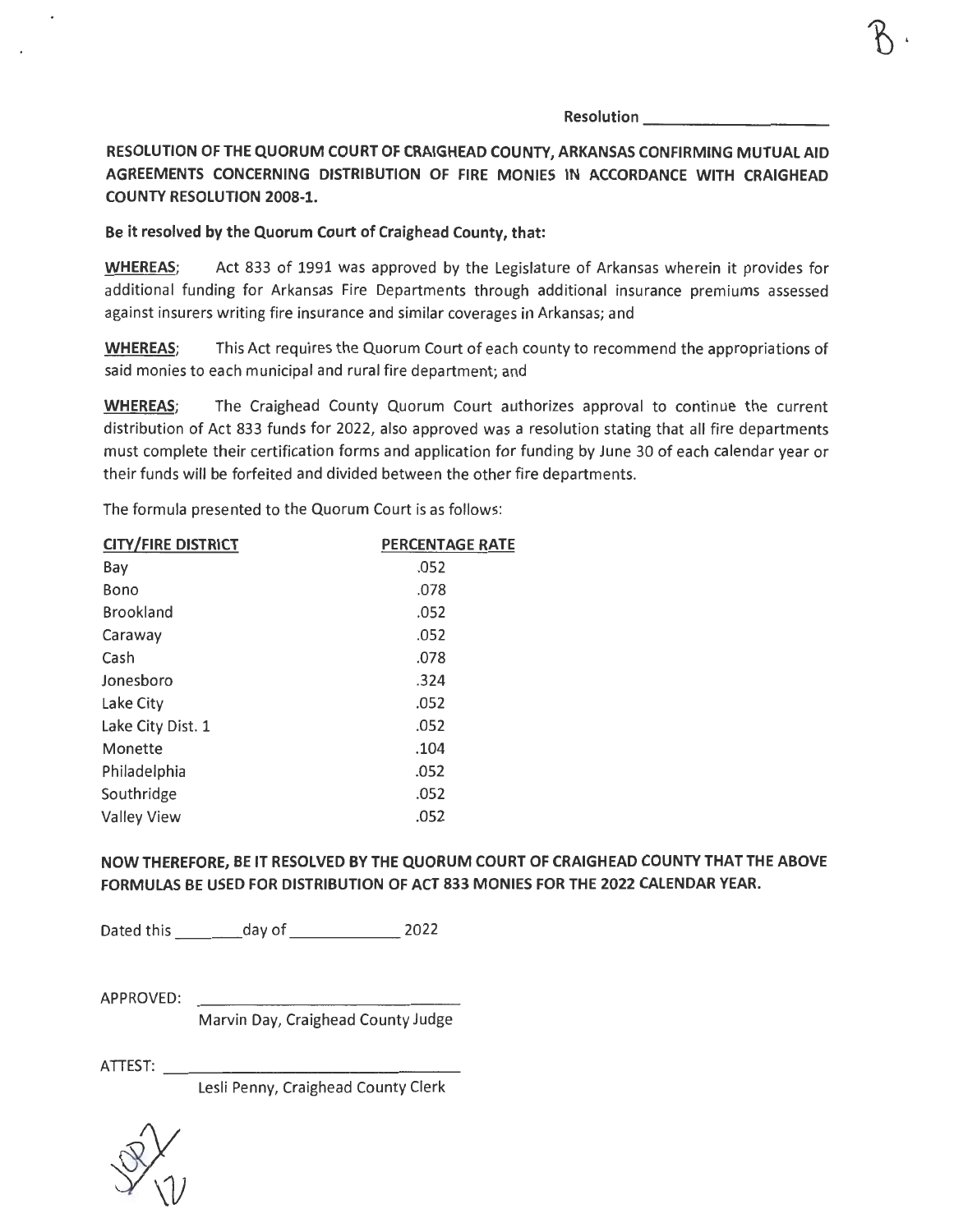**Resolution** --------- **RESOLUTION OF THE QUORUM COURT OF CRAIGHEAD COUNTY, ARKANSAS CONFIRMING MUTUAL AID AGREEMENTS CONCERNING DISTRIBUTION OF FIRE MONIES IN ACCORDANCE WITH CRAIGHEAD COUNTY RESOLUTION 2008-1.** 

**Be it resolved by the Quorum Court of Craighead County, that:** 

**WHEREAS;** Act 833 of 1991 was approved by the Legislature of Arkansas wherein it provides for additional funding for Arkansas Fire Departments through additional insurance premiums assessed against insurers writing fire insurance and similar coverages in Arkansas; and

**WHEREAS;** This Act requires the Quorum Court of each county to recommend the appropriations of said monies to each municipal and rural fire department; and

**WHEREAS;** The Craighead County Quorum Court authorizes approval to continue the current distribution of Act 833 funds for 2022, also approved was a resolution stating that all fire departments must complete their certification forms and application for funding by June 30 of each calendar year or their funds will be forfeited and divided between the other fire departments.

The formula presented to the Quorum Court is as follows:

| <b>CITY/FIRE DISTRICT</b> | <b>PERCENTAGE RATE</b> |
|---------------------------|------------------------|
| Bay                       | .052                   |
| Bono                      | .078                   |
| <b>Brookland</b>          | .052                   |
| Caraway                   | .052                   |
| Cash                      | .078                   |
| Jonesboro                 | .324                   |
| Lake City                 | .052                   |
| Lake City Dist. 1         | .052                   |
| Monette                   | .104                   |
| Philadelphia              | .052                   |
| Southridge                | .052                   |
| <b>Valley View</b>        | .052                   |
|                           |                        |

**NOW THEREFORE, BE IT RESOLVED BY THE QUORUM COURT OF CRAIGHEAD COUNTY THAT THE ABOVE FORMULAS BE USED FOR DISTRIBUTION OF ACT 833 MONIES FOR THE 2022 CALENDAR YEAR.** 

Dated this day of 2022

APPROVED:

Marvin Day, Craighead County Judge

ATTEST: \_\_\_\_\_

Lesli Penny, Craighead County Clerk